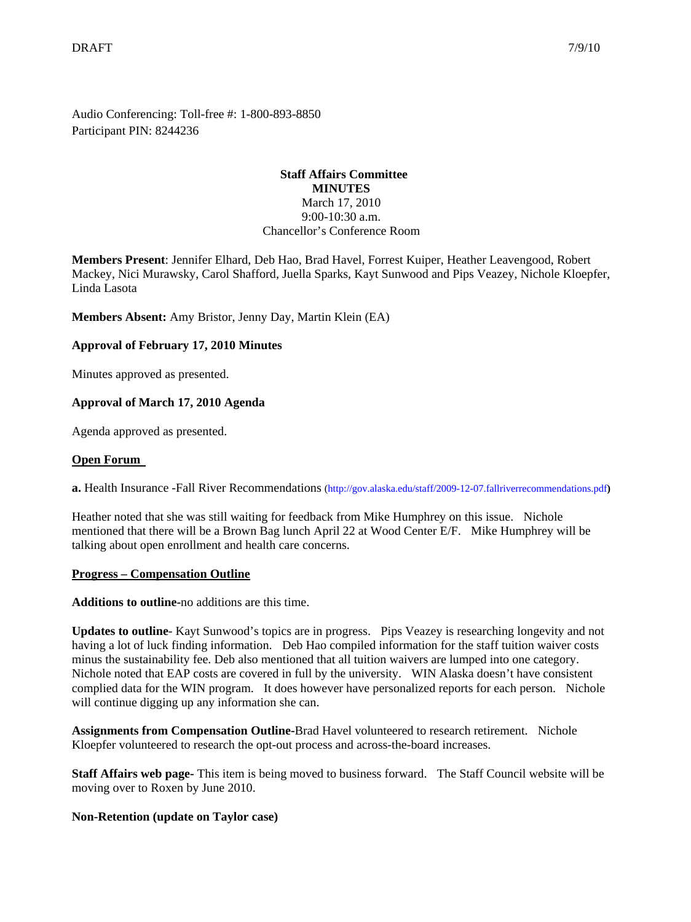Audio Conferencing: Toll-free #: 1-800-893-8850 Participant PIN: 8244236

## **Staff Affairs Committee MINUTES** March 17, 2010 9:00-10:30 a.m. Chancellor's Conference Room

**Members Present**: Jennifer Elhard, Deb Hao, Brad Havel, Forrest Kuiper, Heather Leavengood, Robert Mackey, Nici Murawsky, Carol Shafford, Juella Sparks, Kayt Sunwood and Pips Veazey, Nichole Kloepfer, Linda Lasota

**Members Absent:** Amy Bristor, Jenny Day, Martin Klein (EA)

# **Approval of February 17, 2010 Minutes**

Minutes approved as presented.

# **Approval of March 17, 2010 Agenda**

Agenda approved as presented.

### **Open Forum**

**a.** Health Insurance -Fall River Recommendations [\(http://gov.alaska.edu/staff/2009-12-07.fallriverrecommendations.pdf](http://gov.alaska.edu/staff/2009-12-07.fallriverrecommendations.pdf)**)**

Heather noted that she was still waiting for feedback from Mike Humphrey on this issue. Nichole mentioned that there will be a Brown Bag lunch April 22 at Wood Center E/F. Mike Humphrey will be talking about open enrollment and health care concerns.

## **Progress – Compensation Outline**

**Additions to outline-**no additions are this time.

**Updates to outline**- Kayt Sunwood's topics are in progress. Pips Veazey is researching longevity and not having a lot of luck finding information. Deb Hao compiled information for the staff tuition waiver costs minus the sustainability fee. Deb also mentioned that all tuition waivers are lumped into one category. Nichole noted that EAP costs are covered in full by the university. WIN Alaska doesn't have consistent complied data for the WIN program. It does however have personalized reports for each person. Nichole will continue digging up any information she can.

**Assignments from Compensation Outline-**Brad Havel volunteered to research retirement. Nichole Kloepfer volunteered to research the opt-out process and across-the-board increases.

**Staff Affairs web page-** This item is being moved to business forward. The Staff Council website will be moving over to Roxen by June 2010.

## **Non-Retention (update on Taylor case)**